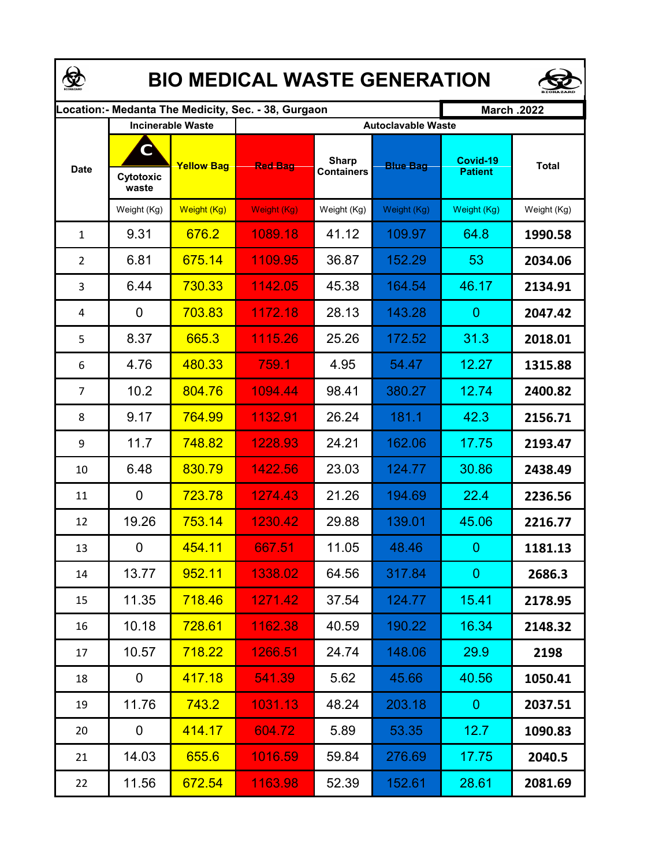| <b>BIO MEDICAL WASTE GENERATION</b> |                         |                          |                                                      |                                   |                           |                            |              |  |  |  |  |  |  |
|-------------------------------------|-------------------------|--------------------------|------------------------------------------------------|-----------------------------------|---------------------------|----------------------------|--------------|--|--|--|--|--|--|
|                                     |                         |                          | ocation: - Medanta The Medicity, Sec. - 38, Gurgaon. |                                   |                           | <b>March .2022</b>         |              |  |  |  |  |  |  |
|                                     |                         | <b>Incinerable Waste</b> |                                                      |                                   | <b>Autoclavable Waste</b> |                            |              |  |  |  |  |  |  |
| <b>Date</b>                         | C<br>Cytotoxic<br>waste | <b>Yellow Bag</b>        | <b>Red Bag</b>                                       | <b>Sharp</b><br><b>Containers</b> | <b>Blue Bag</b>           | Covid-19<br><b>Patient</b> | <b>Total</b> |  |  |  |  |  |  |
|                                     | Weight (Kg)             | Weight (Kg)              | Weight (Kg)                                          | Weight (Kg)                       | Weight (Kg)               | Weight (Kg)                | Weight (Kg)  |  |  |  |  |  |  |
| $\mathbf{1}$                        | 9.31                    | 676.2                    | 1089.18                                              | 41.12                             | 109.97                    | 64.8                       | 1990.58      |  |  |  |  |  |  |
| $\overline{2}$                      | 6.81                    | 675.14                   | 1109.95                                              | 36.87                             | 152.29                    | 53                         | 2034.06      |  |  |  |  |  |  |
| 3                                   | 6.44                    | 730.33                   | 1142.05                                              | 45.38                             | 164.54                    | 46.17                      | 2134.91      |  |  |  |  |  |  |
| 4                                   | 0                       | 703.83                   | 1172.18                                              | 28.13                             | 143.28                    | $\overline{0}$             | 2047.42      |  |  |  |  |  |  |
| 5                                   | 8.37                    | 665.3                    | 1115.26                                              | 25.26                             | 172.52                    | 31.3                       | 2018.01      |  |  |  |  |  |  |
| 6                                   | 4.76                    | 480.33                   | 759.1                                                | 4.95                              | 54.47                     | 12.27                      | 1315.88      |  |  |  |  |  |  |
| $\overline{7}$                      | 10.2                    | 804.76                   | 1094.44                                              | 98.41                             | 380.27                    | 12.74                      | 2400.82      |  |  |  |  |  |  |
| 8                                   | 9.17                    | 764.99                   | 1132.91                                              | 26.24                             | 181.1                     | 42.3                       | 2156.71      |  |  |  |  |  |  |
| 9                                   | 11.7                    | 748.82                   | 1228.93                                              | 24.21                             | 162.06                    | 17.75                      | 2193.47      |  |  |  |  |  |  |
| 10                                  | 6.48                    | 830.79                   | 1422.56                                              | 23.03                             | 124.77                    | 30.86                      | 2438.49      |  |  |  |  |  |  |
| 11                                  | 0                       | 723.78                   | 1274.43                                              | 21.26                             | 194.69                    | 22.4                       | 2236.56      |  |  |  |  |  |  |
| 12                                  | 19.26                   | 753.14                   | 1230.42                                              | 29.88                             | 139.01                    | 45.06                      | 2216.77      |  |  |  |  |  |  |
| 13                                  | 0                       | 454.11                   | 667.51                                               | 11.05                             | 48.46                     | $\mathbf{0}$               | 1181.13      |  |  |  |  |  |  |
| 14                                  | 13.77                   | 952.11                   | 1338.02                                              | 64.56                             | 317.84                    | $\overline{0}$             | 2686.3       |  |  |  |  |  |  |
| 15                                  | 11.35                   | 718.46                   | 1271.42                                              | 37.54                             | 124.77                    | 15.41                      | 2178.95      |  |  |  |  |  |  |
| 16                                  | 10.18                   | 728.61                   | 1162.38                                              | 40.59                             | 190.22                    | 16.34                      | 2148.32      |  |  |  |  |  |  |
| 17                                  | 10.57                   | 718.22                   | 1266.51                                              | 24.74                             | 148.06                    | 29.9                       | 2198         |  |  |  |  |  |  |
| 18                                  | 0                       | 417.18                   | 541.39                                               | 5.62                              | 45.66                     | 40.56                      | 1050.41      |  |  |  |  |  |  |
| 19                                  | 11.76                   | 743.2                    | 1031.13                                              | 48.24                             | 203.18                    | $\overline{0}$             | 2037.51      |  |  |  |  |  |  |
| 20                                  | 0                       | 414.17                   | 604.72                                               | 5.89                              | 53.35                     | 12.7                       | 1090.83      |  |  |  |  |  |  |
| 21                                  | 14.03                   | 655.6                    | 1016.59                                              | 59.84                             | 276.69                    | 17.75                      | 2040.5       |  |  |  |  |  |  |
| 22                                  | 11.56                   | 672.54                   | 1163.98                                              | 52.39                             | 152.61                    | 28.61                      | 2081.69      |  |  |  |  |  |  |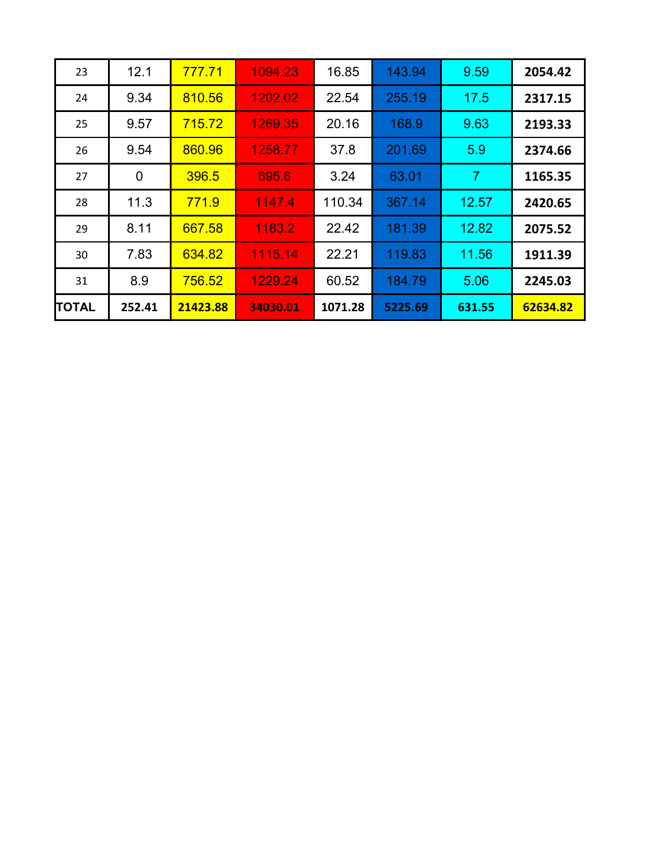| 12.1   | 777.71   | 1094.23  | 16.85   | 143.94  | 9.59           | 2054.42  |
|--------|----------|----------|---------|---------|----------------|----------|
| 9.34   | 810.56   | 1202.02  | 22.54   | 255.19  | 17.5           | 2317.15  |
| 9.57   | 715.72   | 1269.35  | 20.16   | 168.9   | 9.63           | 2193.33  |
| 9.54   | 860.96   | 1258.77  | 37.8    | 201.69  | 5.9            | 2374.66  |
| 0      | 396.5    | 695.6    | 3.24    | 63.01   | $\overline{7}$ | 1165.35  |
| 11.3   | 771.9    | 1147.4   | 110.34  | 367.14  | 12.57          | 2420.65  |
| 8.11   | 667.58   | 1183.2   | 22.42   | 181.39  | 12.82          | 2075.52  |
| 7.83   | 634.82   | 1115.14  | 22.21   | 119.83  | 11.56          | 1911.39  |
| 8.9    | 756.52   | 1229.24  | 60.52   | 184.79  | 5.06           | 2245.03  |
| 252.41 | 21423.88 | 34030.01 | 1071.28 | 5225.69 | 631.55         | 62634.82 |